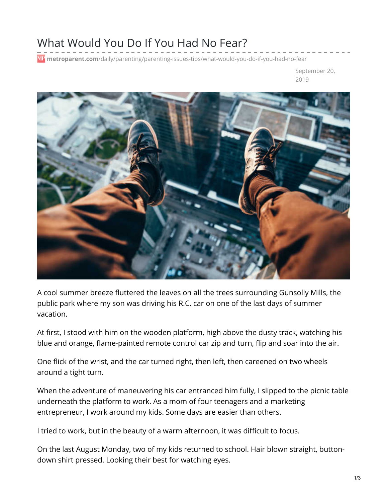## What Would You Do If You Had No Fear?

**metroparent.com**[/daily/parenting/parenting-issues-tips/what-would-you-do-if-you-had-no-fear](https://www.metroparent.com/daily/parenting/parenting-issues-tips/what-would-you-do-if-you-had-no-fear/#)

September 20, 2019



A cool summer breeze fluttered the leaves on all the trees surrounding Gunsolly Mills, the public park where my son was driving his R.C. car on one of the last days of summer vacation.

At first, I stood with him on the wooden platform, high above the dusty track, watching his blue and orange, flame-painted remote control car zip and turn, flip and soar into the air.

One flick of the wrist, and the car turned right, then left, then careened on two wheels around a tight turn.

When the adventure of maneuvering his car entranced him fully, I slipped to the picnic table underneath the platform to work. As a mom of four teenagers and a marketing entrepreneur, I work around my kids. Some days are easier than others.

I tried to work, but in the beauty of a warm afternoon, it was difficult to focus.

On the last August Monday, two of my kids returned to school. Hair blown straight, buttondown shirt pressed. Looking their best for watching eyes.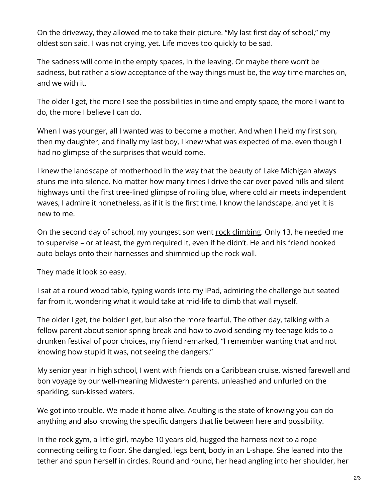On the driveway, they allowed me to take their picture. "My last first day of school," my oldest son said. I was not crying, yet. Life moves too quickly to be sad.

The sadness will come in the empty spaces, in the leaving. Or maybe there won't be sadness, but rather a slow acceptance of the way things must be, the way time marches on, and we with it.

The older I get, the more I see the possibilities in time and empty space, the more I want to do, the more I believe I can do.

When I was younger, all I wanted was to become a mother. And when I held my first son, then my daughter, and finally my last boy, I knew what was expected of me, even though I had no glimpse of the surprises that would come.

I knew the landscape of motherhood in the way that the beauty of Lake Michigan always stuns me into silence. No matter how many times I drive the car over paved hills and silent highways until the first tree-lined glimpse of roiling blue, where cold air meets independent waves, I admire it nonetheless, as if it is the first time. I know the landscape, and yet it is new to me.

On the second day of school, my youngest son went rock [climbing](https://www.metroparent.com/daily/family-fun/indoor-playgrounds/indoor-rock-climbing-for-kids-and-families-southeast-michigan/). Only 13, he needed me to supervise – or at least, the gym required it, even if he didn't. He and his friend hooked auto-belays onto their harnesses and shimmied up the rock wall.

They made it look so easy.

I sat at a round wood table, typing words into my iPad, admiring the challenge but seated far from it, wondering what it would take at mid-life to climb that wall myself.

The older I get, the bolder I get, but also the more fearful. The other day, talking with a fellow parent about senior [spring](https://www.metroparent.com/daily/family-fun/family-travel/safe-spring-break-destinations-high-school-students/) break and how to avoid sending my teenage kids to a drunken festival of poor choices, my friend remarked, "I remember wanting that and not knowing how stupid it was, not seeing the dangers."

My senior year in high school, I went with friends on a Caribbean cruise, wished farewell and bon voyage by our well-meaning Midwestern parents, unleashed and unfurled on the sparkling, sun-kissed waters.

We got into trouble. We made it home alive. Adulting is the state of knowing you can do anything and also knowing the specific dangers that lie between here and possibility.

In the rock gym, a little girl, maybe 10 years old, hugged the harness next to a rope connecting ceiling to floor. She dangled, legs bent, body in an L-shape. She leaned into the tether and spun herself in circles. Round and round, her head angling into her shoulder, her